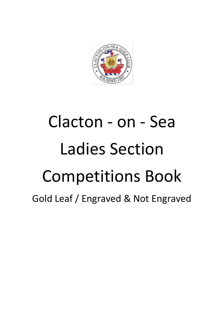

# Clacton - on - Sea Ladies Section Competitions Book Gold Leaf / Engraved & Not Engraved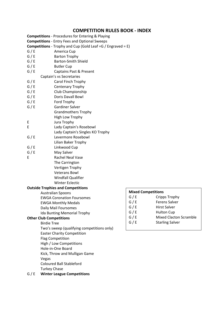#### **COMPETITION RULES BOOK - INDEX**

|       | <b>Competitions</b> - Procedures for Entering & Playing                  |       |                           |
|-------|--------------------------------------------------------------------------|-------|---------------------------|
|       | <b>Competitions</b> - Entry Fees and Optional Sweeps                     |       |                           |
|       | <b>Competitions</b> - Trophy and Cup (Gold Leaf = $G /$ Engraved = $E$ ) |       |                           |
| G/E   | America Cup                                                              |       |                           |
| G / E | <b>Barton Trophy</b>                                                     |       |                           |
| G / E | <b>Barton-Smith Shield</b>                                               |       |                           |
| G / E | <b>Butler Cup</b>                                                        |       |                           |
| G/E   | <b>Captains Past &amp; Present</b>                                       |       |                           |
|       | Captain's vs Secretaries                                                 |       |                           |
| G/E   | Carol Finch Trophy                                                       |       |                           |
| G/E   | Centenary Trophy                                                         |       |                           |
| G / E | Club Championship                                                        |       |                           |
| G / E | Doris Davall Bowl                                                        |       |                           |
| G / E | Ford Trophy                                                              |       |                           |
| G/E   | <b>Gardiner Salver</b>                                                   |       |                           |
|       | <b>Grandmothers Trophy</b>                                               |       |                           |
|       | High Low Trophy                                                          |       |                           |
| Ε     | Jura Trophy                                                              |       |                           |
| E     | Lady Captain's Rosebowl                                                  |       |                           |
|       | Lady Captain's Singles KO Trophy                                         |       |                           |
| G / E | Levermore Rosebowl                                                       |       |                           |
|       | Lilian Baker Trophy                                                      |       |                           |
| G/E   | Linkwood Cup                                                             |       |                           |
| G / E | May Salver                                                               |       |                           |
| E     | Rachel Neal Vase                                                         |       |                           |
|       | The Carrington                                                           |       |                           |
|       | Vertigen Trophy                                                          |       |                           |
|       | <b>Veterans Bowl</b>                                                     |       |                           |
|       | <b>Windfall Qualifier</b>                                                |       |                           |
|       | <b>Winter Eclectic</b>                                                   |       |                           |
|       | <b>Outside Trophies and Competitions</b>                                 |       |                           |
|       | <b>Australian Spoons</b>                                                 |       | <b>Mixed Competitions</b> |
|       | <b>EWGA Coronation Foursomes</b>                                         | G / E | Cripp                     |
|       | <b>EWGA Monthly Medals</b>                                               | G/E   | Ferer                     |
|       | Daily Mail Foursomes                                                     | G / E | Hirst                     |
|       | Ida Bunting Memorial Trophy                                              | G / E | Hulto                     |
|       | <b>Other Club Competitions</b>                                           | G / E | Mixe                      |
|       | <b>Birdie Tree</b>                                                       | G/E   | Starli                    |
|       | Two's sweep (qualifying competitions only)                               |       |                           |
|       | <b>Easter Charity Competition</b>                                        |       |                           |
|       | <b>Flag Competition</b>                                                  |       |                           |
|       | High / Low Competitions                                                  |       |                           |
|       | Hole-in-One Board                                                        |       |                           |
|       | Kick, Throw and Mulligan Game                                            |       |                           |
|       | Vegas                                                                    |       |                           |
|       | <b>Coloured Ball Stableford</b>                                          |       |                           |
|       | <b>Turkey Chase</b>                                                      |       |                           |
| G/E   | <b>Winter League Competitions</b>                                        |       |                           |

Cripps Trophy Ferens Salver Hirst Salver Hulton Cup

Starling Salver

Mixed Clacton Scramble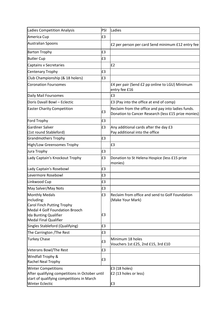| <b>Ladies Competition Analysis</b>                                                                                                                    | PSI      | Ladies                                                                                                    |
|-------------------------------------------------------------------------------------------------------------------------------------------------------|----------|-----------------------------------------------------------------------------------------------------------|
| America Cup                                                                                                                                           | £3       |                                                                                                           |
| <b>Australian Spoons</b>                                                                                                                              |          | E2 per person per card Send minimum £12 entry fee                                                         |
| <b>Barton Trophy</b>                                                                                                                                  | £3       |                                                                                                           |
| <b>Butler Cup</b>                                                                                                                                     | £3       |                                                                                                           |
| Captains v Secretaries                                                                                                                                |          | E2                                                                                                        |
| <b>Centenary Trophy</b>                                                                                                                               | £3       |                                                                                                           |
| Club Championship (& 18 holers)                                                                                                                       | £3       |                                                                                                           |
| <b>Coronation Foursomes</b>                                                                                                                           |          | £4 per pair (Send £2 pp online to LGU) Minimum<br>entry fee £16                                           |
| Daily Mail Foursomes                                                                                                                                  |          | £3                                                                                                        |
| Doris Davall Bowl - Eclectic                                                                                                                          |          | E3 (Pay into the office at end of comp)                                                                   |
| <b>Easter Charity Competition</b>                                                                                                                     | £3       | Reclaim from the office and pay into ladies funds.<br>Donation to Cancer Research (less £15 prize monies) |
| Ford Trophy                                                                                                                                           | £3       |                                                                                                           |
| <b>Gardiner Salver</b><br>(1st round Stableford)                                                                                                      | £3       | Any additional cards after the day £3<br>Pay additional into the office                                   |
| <b>Grandmothers Trophy</b>                                                                                                                            | £3       |                                                                                                           |
| High/Low Greensomes Trophy                                                                                                                            |          | £3                                                                                                        |
| Jura Trophy                                                                                                                                           | £3       |                                                                                                           |
| Lady Captain's Knockout Trophy                                                                                                                        | £3       | Donation to St Helena Hospice (less £15 prize<br>monies)                                                  |
| Lady Captain's Rosebowl                                                                                                                               | £3       |                                                                                                           |
| Levermore Rosebowl                                                                                                                                    | £3       |                                                                                                           |
| Linkwood Cup                                                                                                                                          | £3       |                                                                                                           |
| May Salver/May Nots                                                                                                                                   | £3       |                                                                                                           |
| <b>Monthly Medals</b><br>Including:<br>Carol Finch Putting Trophy<br>Medal 4 Golf Foundation Brooch<br>Ida Bunting Qualifier<br>Medal Final Qualifier | £3<br>£3 | Reclaim from office and send to Golf Foundation<br>(Make Your Mark)                                       |
| Singles Stableford (Qualifying)                                                                                                                       | £3       |                                                                                                           |
| The Carrington / The Rest                                                                                                                             | £3       |                                                                                                           |
| <b>Turkey Chase</b>                                                                                                                                   | £3       | Minimum 18 holes<br>Vouchers 1st £25, 2nd £15, 3rd £10                                                    |
| <b>Veterans Bowl/The Rest</b>                                                                                                                         | £3       |                                                                                                           |
| Windfall Trophy &<br><b>Rachel Neal Trophy</b>                                                                                                        | £3       |                                                                                                           |
| <b>Winter Competitions</b><br>After qualifying competitions in October until<br>start of qualifying competitions in March<br><b>Winter Eclectic</b>   |          | $E3(18$ holes)<br>£2 (13 holes or less)<br>£3                                                             |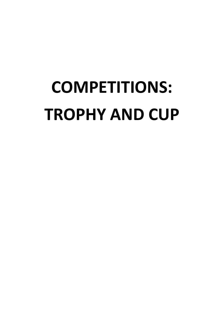# **COMPETITIONS: TROPHY AND CUP**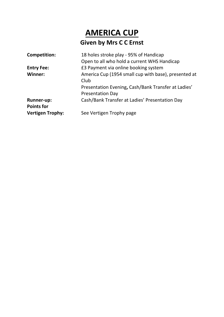### **AMERICA CUP Given by Mrs C C Ernst**

| <b>Competition:</b>     | 18 holes stroke play - 95% of Handicap               |
|-------------------------|------------------------------------------------------|
|                         | Open to all who hold a current WHS Handicap          |
| <b>Entry Fee:</b>       | £3 Payment via online booking system                 |
| Winner:                 | America Cup (1954 small cup with base), presented at |
|                         | Club                                                 |
|                         | Presentation Evening, Cash/Bank Transfer at Ladies'  |
|                         | <b>Presentation Day</b>                              |
| <b>Runner-up:</b>       | Cash/Bank Transfer at Ladies' Presentation Day       |
| <b>Points for</b>       |                                                      |
| <b>Vertigen Trophy:</b> | See Vertigen Trophy page                             |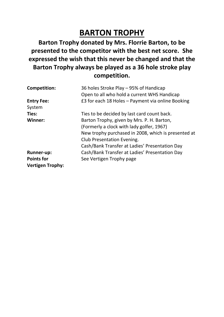### **BARTON TROPHY**

**Barton Trophy donated by Mrs. Florrie Barton, to be presented to the competitor with the best net score. She expressed the wish that this never be changed and that the Barton Trophy always be played as a 36 hole stroke play competition.**

| <b>Competition:</b>     | 36 holes Stroke Play - 95% of Handicap              |
|-------------------------|-----------------------------------------------------|
|                         | Open to all who hold a current WHS Handicap         |
| <b>Entry Fee:</b>       | £3 for each 18 Holes - Payment via online Booking   |
| System                  |                                                     |
| Ties:                   | Ties to be decided by last card count back.         |
| Winner:                 | Barton Trophy, given by Mrs. P. H. Barton,          |
|                         | (Formerly a clock with lady golfer, 1967)           |
|                         | New trophy purchased in 2008, which is presented at |
|                         | <b>Club Presentation Evening.</b>                   |
|                         | Cash/Bank Transfer at Ladies' Presentation Day      |
| <b>Runner-up:</b>       | Cash/Bank Transfer at Ladies' Presentation Day      |
| <b>Points for</b>       | See Vertigen Trophy page                            |
| <b>Vertigen Trophy:</b> |                                                     |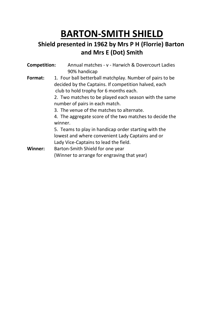### **BARTON-SMITH SHIELD**

### **Shield presented in 1962 by Mrs P H (Florrie) Barton and Mrs E (Dot) Smith**

| <b>Competition:</b> | Annual matches - v - Harwich & Dovercourt Ladies                                                                                                                               |
|---------------------|--------------------------------------------------------------------------------------------------------------------------------------------------------------------------------|
| Format:             | 90% handicap<br>1. Four ball betterball matchplay. Number of pairs to be<br>decided by the Captains. If competition halved, each<br>club to hold trophy for 6 months each.     |
|                     | 2. Two matches to be played each season with the same<br>number of pairs in each match.<br>3. The venue of the matches to alternate.                                           |
|                     | 4. The aggregate score of the two matches to decide the<br>winner.<br>5. Teams to play in handicap order starting with the<br>lowest and where convenient Lady Captains and or |
|                     | Lady Vice-Captains to lead the field.                                                                                                                                          |
| <b>Winner:</b>      | Barton-Smith Shield for one year                                                                                                                                               |
|                     | (Winner to arrange for engraving that year)                                                                                                                                    |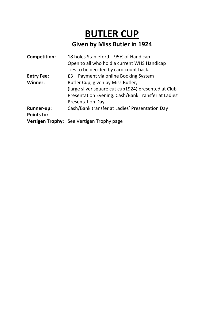### **BUTLER CUP Given by Miss Butler in 1924**

| <b>Competition:</b> | 18 holes Stableford - 95% of Handicap               |
|---------------------|-----------------------------------------------------|
|                     | Open to all who hold a current WHS Handicap         |
|                     | Ties to be decided by card count back.              |
| <b>Entry Fee:</b>   | £3 - Payment via online Booking System              |
| <b>Winner:</b>      | Butler Cup, given by Miss Butler,                   |
|                     | (large silver square cut cup1924) presented at Club |
|                     | Presentation Evening. Cash/Bank Transfer at Ladies' |
|                     | <b>Presentation Day</b>                             |
| <b>Runner-up:</b>   | Cash/Bank transfer at Ladies' Presentation Day      |
| <b>Points for</b>   |                                                     |
|                     | <b>Vertigen Trophy:</b> See Vertigen Trophy page    |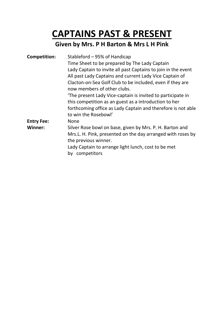### **CAPTAINS PAST & PRESENT**

### **Given by Mrs. P H Barton & Mrs L H Pink**

| <b>Competition:</b> | Stableford – 95% of Handicap                                                                                                                    |
|---------------------|-------------------------------------------------------------------------------------------------------------------------------------------------|
|                     | Time Sheet to be prepared by The Lady Captain                                                                                                   |
|                     | Lady Captain to invite all past Captains to join in the event<br>All past Lady Captains and current Lady Vice Captain of                        |
|                     | Clacton-on-Sea Golf Club to be included, even if they are<br>now members of other clubs.                                                        |
|                     | The present Lady Vice-captain is invited to participate in<br>this competition as an guest as a introduction to her                             |
|                     | forthcoming office as Lady Captain and therefore is not able<br>to win the Rosebowl'                                                            |
| <b>Entry Fee:</b>   | <b>None</b>                                                                                                                                     |
| Winner:             | Silver Rose bowl on base, given by Mrs. P. H. Barton and<br>Mrs.L. H. Pink, presented on the day arranged with roses by<br>the previous winner. |
|                     | Lady Captain to arrange light lunch, cost to be met<br>by competitors                                                                           |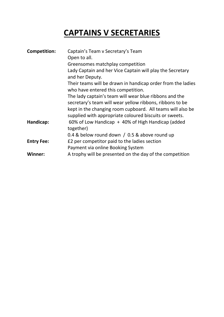### **CAPTAINS V SECRETARIES**

| <b>Competition:</b> | Captain's Team v Secretary's Team                                                                 |
|---------------------|---------------------------------------------------------------------------------------------------|
|                     | Open to all.                                                                                      |
|                     | Greensomes matchplay competition                                                                  |
|                     | Lady Captain and her Vice Captain will play the Secretary                                         |
|                     | and her Deputy.                                                                                   |
|                     | Their teams will be drawn in handicap order from the ladies<br>who have entered this competition. |
|                     | The lady captain's team will wear blue ribbons and the                                            |
|                     | secretary's team will wear yellow ribbons, ribbons to be                                          |
|                     | kept in the changing room cupboard. All teams will also be                                        |
|                     | supplied with appropriate coloured biscuits or sweets.                                            |
| Handicap:           | 60% of Low Handicap + 40% of High Handicap (added<br>together)                                    |
|                     | 0.4 & below round down $/$ 0.5 & above round up                                                   |
| <b>Entry Fee:</b>   | £2 per competitor paid to the ladies section                                                      |
|                     | Payment via online Booking System                                                                 |
| Winner:             | A trophy will be presented on the day of the competition                                          |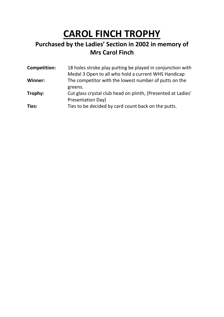# **CAROL FINCH TROPHY**

### **Purchased by the Ladies' Section in 2002 in memory of Mrs Carol Finch**

| <b>Competition:</b> | 18 holes stroke play putting be played in conjunction with<br>Medal 3 Open to all who hold a current WHS Handicap |
|---------------------|-------------------------------------------------------------------------------------------------------------------|
| Winner:             | The competitor with the lowest number of putts on the                                                             |
| Trophy:             | greens.<br>Cut glass crystal club head on plinth, (Presented at Ladies'                                           |
| Ties:               | Presentation Day)<br>Ties to be decided by card count back on the putts.                                          |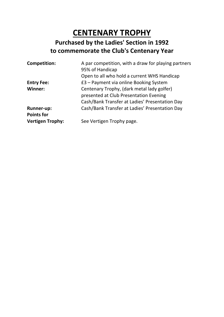### **CENTENARY TROPHY Purchased by the Ladies' Section in 1992 to commemorate the Club's Centenary Year**

| <b>Competition:</b>     | A par competition, with a draw for playing partners<br>95% of Handicap |
|-------------------------|------------------------------------------------------------------------|
|                         | Open to all who hold a current WHS Handicap                            |
| <b>Entry Fee:</b>       | £3 – Payment via online Booking System                                 |
| Winner:                 | Centenary Trophy, (dark metal lady golfer)                             |
|                         | presented at Club Presentation Evening                                 |
|                         | Cash/Bank Transfer at Ladies' Presentation Day                         |
| <b>Runner-up:</b>       | Cash/Bank Transfer at Ladies' Presentation Day                         |
| <b>Points for</b>       |                                                                        |
| <b>Vertigen Trophy:</b> | See Vertigen Trophy page.                                              |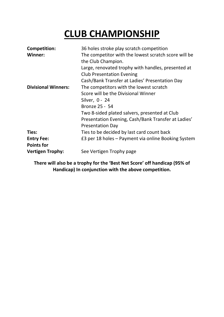# **CLUB CHAMPIONSHIP**

| <b>Competition:</b>        | 36 holes stroke play scratch competition             |
|----------------------------|------------------------------------------------------|
| Winner:                    | The competitor with the lowest scratch score will be |
|                            | the Club Champion.                                   |
|                            | Large, renovated trophy with handles, presented at   |
|                            | <b>Club Presentation Evening</b>                     |
|                            | Cash/Bank Transfer at Ladies' Presentation Day       |
| <b>Divisional Winners:</b> | The competitors with the lowest scratch              |
|                            | Score will be the Divisional Winner                  |
|                            | Silver, 0 - 24                                       |
|                            | Bronze 25 - 54                                       |
|                            | Two 8-sided plated salvers, presented at Club        |
|                            | Presentation Evening, Cash/Bank Transfer at Ladies'  |
|                            | <b>Presentation Day</b>                              |
| Ties:                      | Ties to be decided by last card count back           |
| <b>Entry Fee:</b>          | £3 per 18 holes - Payment via online Booking System  |
| <b>Points for</b>          |                                                      |
| <b>Vertigen Trophy:</b>    | See Vertigen Trophy page                             |

**There will also be a trophy for the 'Best Net Score' off handicap (95% of Handicap) In conjunction with the above competition.**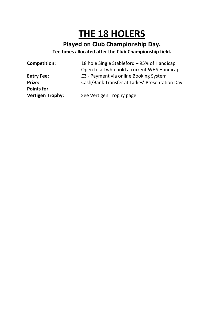## **THE 18 HOLERS**

### **Played on Club Championship Day. Tee times allocated after the Club Championship field.**

| <b>Competition:</b>     | 18 hole Single Stableford - 95% of Handicap    |
|-------------------------|------------------------------------------------|
|                         | Open to all who hold a current WHS Handicap    |
| <b>Entry Fee:</b>       | £3 - Payment via online Booking System         |
| <b>Prize:</b>           | Cash/Bank Transfer at Ladies' Presentation Day |
| <b>Points for</b>       |                                                |
| <b>Vertigen Trophy:</b> | See Vertigen Trophy page                       |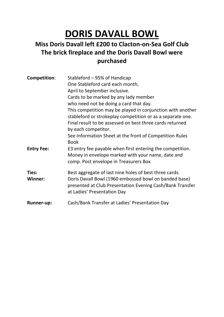## **DORIS DAVALL BOWL**

### **Miss Doris Davall left £200 to Clacton-on-Sea Golf Club The brick fireplace and the Doris Davall Bowl were purchased**

| Competition:      | Stableford – 95% of Handicap<br>One Stableford card each month,<br>April to September inclusive.                                                        |
|-------------------|---------------------------------------------------------------------------------------------------------------------------------------------------------|
|                   | Cards to be marked by any lady member                                                                                                                   |
|                   | who need not be doing a card that day.                                                                                                                  |
|                   | This competition may be played in conjunction with another                                                                                              |
|                   | stableford or strokeplay competition or as a separate one.                                                                                              |
|                   | Final result to be assessed on best three cards returned                                                                                                |
|                   | by each competitor.                                                                                                                                     |
|                   | See Information Sheet at the front of Competition Rules<br><b>Book</b>                                                                                  |
| <b>Entry Fee:</b> | E3 entry fee payable when first entering the competition.<br>Money in envelope marked with your name, date and<br>comp. Post envelope in Treasurers Box |
| Ties:             | Best aggregate of last nine holes of best three cards.                                                                                                  |
| <b>Winner:</b>    | Doris Davall Bowl (1960 embossed bowl on banded base)<br>presented at Club Presentation Evening Cash/Bank Transfer<br>at Ladies' Presentation Day       |
| <b>Runner-up:</b> | Cash/Bank Transfer at Ladies' Presentation Day                                                                                                          |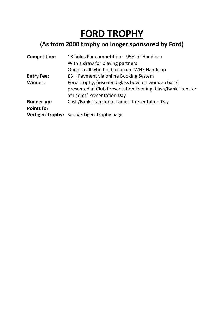# **FORD TROPHY**

### **(As from 2000 trophy no longer sponsored by Ford)**

| <b>Competition:</b> | 18 holes Par competition - 95% of Handicap                 |
|---------------------|------------------------------------------------------------|
|                     | With a draw for playing partners                           |
|                     | Open to all who hold a current WHS Handicap                |
| <b>Entry Fee:</b>   | £3 – Payment via online Booking System                     |
| <b>Winner:</b>      | Ford Trophy, (inscribed glass bowl on wooden base)         |
|                     | presented at Club Presentation Evening. Cash/Bank Transfer |
|                     | at Ladies' Presentation Day                                |
| <b>Runner-up:</b>   | Cash/Bank Transfer at Ladies' Presentation Day             |
| <b>Points for</b>   |                                                            |
|                     | Vertigen Trophy: See Vertigen Trophy page                  |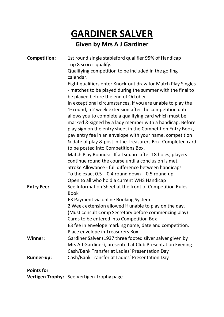# **GARDINER SALVER**

### **Given by Mrs A J Gardiner**

| <b>Competition:</b> | 1st round single stableford qualifier 95% of Handicap<br>Top 8 scores qualify.                                                                                                                                                                     |
|---------------------|----------------------------------------------------------------------------------------------------------------------------------------------------------------------------------------------------------------------------------------------------|
|                     | Qualifying competition to be included in the golfing<br>calendar.                                                                                                                                                                                  |
|                     | Eight qualifiers enter Knock-out draw for Match Play Singles<br>- matches to be played during the summer with the final to<br>be played before the end of October                                                                                  |
|                     | In exceptional circumstances, if you are unable to play the<br>$1*$ round, a 2 week extension after the competition date<br>allows you to complete a qualifying card which must be                                                                 |
|                     | marked & signed by a lady member with a handicap. Before<br>play sign on the entry sheet in the Competition Entry Book,<br>pay entry fee in an envelope with your name, competition<br>& date of play & post in the Treasurers Box. Completed card |
|                     | to be posted into Competitions Box.                                                                                                                                                                                                                |
|                     | Match Play Rounds: If all square after 18 holes, players                                                                                                                                                                                           |
|                     | continue round the course until a conclusion is met.                                                                                                                                                                                               |
|                     | Stroke Allowance - full difference between handicaps                                                                                                                                                                                               |
|                     | To the exact $0.5 - 0.4$ round down $-0.5$ round up                                                                                                                                                                                                |
|                     | Open to all who hold a current WHS Handicap                                                                                                                                                                                                        |
| <b>Entry Fee:</b>   | See Information Sheet at the front of Competition Rules<br><b>Book</b>                                                                                                                                                                             |
|                     | £3 Payment via online Booking System                                                                                                                                                                                                               |
|                     | 2 Week extension allowed if unable to play on the day.                                                                                                                                                                                             |
|                     | (Must consult Comp Secretary before commencing play)                                                                                                                                                                                               |
|                     | Cards to be entered into Competition Box                                                                                                                                                                                                           |
|                     | £3 fee in envelope marking name, date and competition.                                                                                                                                                                                             |
|                     | Place envelope in Treasurers Box                                                                                                                                                                                                                   |
| Winner:             | Gardiner Salver (1937 three footed silver salver given by                                                                                                                                                                                          |
|                     | Mrs A J Gardiner), presented at Club Presentation Evening                                                                                                                                                                                          |
|                     | Cash/Bank Transfer at Ladies' Presentation Day                                                                                                                                                                                                     |
| <b>Runner-up:</b>   | Cash/Bank Transfer at Ladies' Presentation Day                                                                                                                                                                                                     |
| <b>Points for</b>   |                                                                                                                                                                                                                                                    |

**Vertigen Trophy:** See Vertigen Trophy page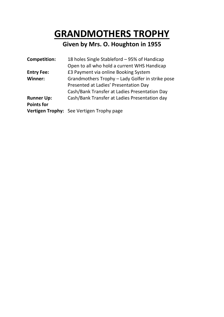### **GRANDMOTHERS TROPHY**

### **Given by Mrs. O. Houghton in 1955**

| <b>Competition:</b> | 18 holes Single Stableford - 95% of Handicap     |
|---------------------|--------------------------------------------------|
|                     | Open to all who hold a current WHS Handicap      |
| <b>Entry Fee:</b>   | £3 Payment via online Booking System             |
| <b>Winner:</b>      | Grandmothers Trophy - Lady Golfer in strike pose |
|                     | Presented at Ladies' Presentation Day            |
|                     | Cash/Bank Transfer at Ladies Presentation Day    |
| <b>Runner Up:</b>   | Cash/Bank Transfer at Ladies Presentation day    |
| <b>Points for</b>   |                                                  |
|                     | Vertigen Trophy: See Vertigen Trophy page        |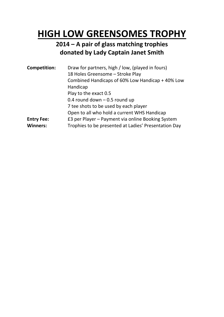### **HIGH LOW GREENSOMES TROPHY**

### **2014 – A pair of glass matching trophies donated by Lady Captain Janet Smith**

| <b>Competition:</b> | Draw for partners, high / low, (played in fours)<br>18 Holes Greensome - Stroke Play<br>Combined Handicaps of 60% Low Handicap + 40% Low<br>Handicap<br>Play to the exact 0.5<br>0.4 round down $-$ 0.5 round up<br>7 tee shots to be used by each player<br>Open to all who hold a current WHS Handicap |
|---------------------|----------------------------------------------------------------------------------------------------------------------------------------------------------------------------------------------------------------------------------------------------------------------------------------------------------|
| <b>Entry Fee:</b>   | £3 per Player – Payment via online Booking System                                                                                                                                                                                                                                                        |
| <b>Winners:</b>     | Trophies to be presented at Ladies' Presentation Day                                                                                                                                                                                                                                                     |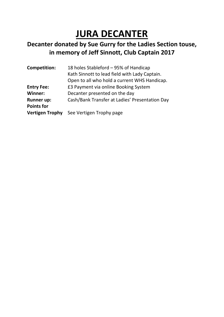# **JURA DECANTER**

### **Decanter donated by Sue Gurry for the Ladies Section touse, in memory of Jeff Sinnott, Club Captain 2017**

| <b>Competition:</b>    | 18 holes Stableford - 95% of Handicap          |
|------------------------|------------------------------------------------|
|                        | Kath Sinnott to lead field with Lady Captain.  |
|                        | Open to all who hold a current WHS Handicap.   |
| <b>Entry Fee:</b>      | £3 Payment via online Booking System           |
| Winner:                | Decanter presented on the day                  |
| <b>Runner up:</b>      | Cash/Bank Transfer at Ladies' Presentation Day |
| <b>Points for</b>      |                                                |
| <b>Vertigen Trophy</b> | See Vertigen Trophy page                       |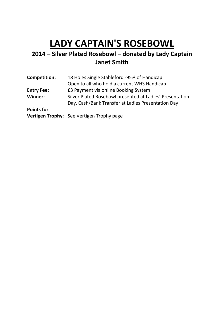## **LADY CAPTAIN'S ROSEBOWL**

### **2014 – Silver Plated Rosebowl – donated by Lady Captain Janet Smith**

**Competition:** 18 Holes Single Stableford -95% of Handicap Open to all who hold a current WHS Handicap **Entry Fee: E3 Payment via online Booking System Winner:** Silver Plated Rosebowl presented at Ladies' Presentation Day, Cash/Bank Transfer at Ladies Presentation Day **Points for** 

**Vertigen Trophy**: See Vertigen Trophy page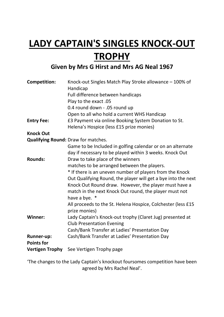# **LADY CAPTAIN'S SINGLES KNOCK-OUT TROPHY**

### **Given by Mrs G Hirst and Mrs AG Neal 1967**

| <b>Competition:</b>                    | Knock-out Singles Match Play Stroke allowance - 100% of<br>Handicap           |
|----------------------------------------|-------------------------------------------------------------------------------|
|                                        | Full difference between handicaps                                             |
|                                        | Play to the exact .05                                                         |
|                                        | 0.4 round down - .05 round up                                                 |
|                                        | Open to all who hold a current WHS Handicap                                   |
| <b>Entry Fee:</b>                      | £3 Payment via online Booking System Donation to St.                          |
|                                        | Helena's Hospice (less £15 prize monies)                                      |
| <b>Knock Out</b>                       |                                                                               |
|                                        | Qualifying Round: Draw for matches.                                           |
|                                        | Game to be Included in golfing calendar or on an alternate                    |
|                                        | day if necessary to be played within 3 weeks. Knock Out                       |
| <b>Rounds:</b>                         | Draw to take place of the winners                                             |
|                                        | matches to be arranged between the players.                                   |
|                                        | * If there is an uneven number of players from the Knock                      |
|                                        | Out Qualifying Round, the player will get a bye into the next                 |
|                                        | Knock Out Round draw. However, the player must have a                         |
|                                        | match in the next Knock Out round, the player must not                        |
|                                        | have a bye. *                                                                 |
|                                        | All proceeds to the St. Helena Hospice, Colchester (less £15<br>prize monies) |
| Winner:                                | Lady Captain's Knock-out trophy (Claret Jug) presented at                     |
|                                        | <b>Club Presentation Evening</b>                                              |
|                                        | Cash/Bank Transfer at Ladies' Presentation Day                                |
| <b>Runner-up:</b><br><b>Points for</b> | Cash/Bank Transfer at Ladies' Presentation Day                                |
|                                        | Vertigen Trophy See Vertigen Trophy page                                      |

'The changes to the Lady Captain's knockout foursomes competition have been agreed by Mrs Rachel Neal'.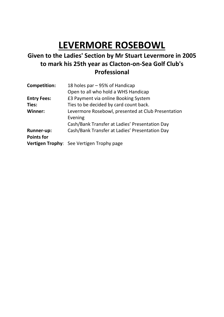# **LEVERMORE ROSEBOWL**

### **Given to the Ladies' Section by Mr Stuart Levermore in 2005 to mark his 25th year as Clacton-on-Sea Golf Club's Professional**

| <b>Competition:</b> | 18 holes par - 95% of Handicap                     |
|---------------------|----------------------------------------------------|
|                     | Open to all who hold a WHS Handicap                |
| <b>Entry Fees:</b>  | £3 Payment via online Booking System               |
| Ties:               | Ties to be decided by card count back.             |
| Winner:             | Levermore Rosebowl, presented at Club Presentation |
|                     | Evening                                            |
|                     | Cash/Bank Transfer at Ladies' Presentation Day     |
| <b>Runner-up:</b>   | Cash/Bank Transfer at Ladies' Presentation Day     |
| <b>Points for</b>   |                                                    |
|                     | Vertigen Trophy: See Vertigen Trophy page          |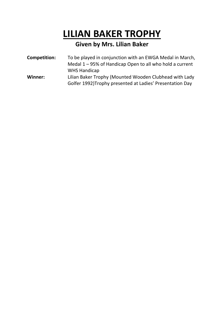### **LILIAN BAKER TROPHY**

### **Given by Mrs. Lilian Baker**

| <b>Competition:</b> | To be played in conjunction with an EWGA Medal in March, |
|---------------------|----------------------------------------------------------|
|                     | Medal 1 – 95% of Handicap Open to all who hold a current |
|                     | <b>WHS Handicap</b>                                      |
| Winner:             | Lilian Baker Trophy (Mounted Wooden Clubhead with Lady   |
|                     | Golfer 1992)Trophy presented at Ladies' Presentation Day |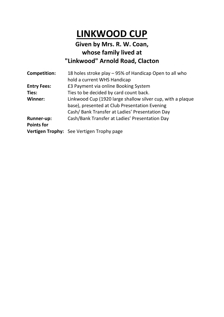### **LINKWOOD CUP**

### **Given by Mrs. R. W. Coan, whose family lived at "Linkwood" Arnold Road, Clacton**

| <b>Competition:</b> | 18 holes stroke play – 95% of Handicap Open to all who     |
|---------------------|------------------------------------------------------------|
|                     | hold a current WHS Handicap                                |
| <b>Entry Fees:</b>  | £3 Payment via online Booking System                       |
| Ties:               | Ties to be decided by card count back.                     |
| Winner:             | Linkwood Cup (1920 large shallow silver cup, with a plaque |
|                     | base), presented at Club Presentation Evening              |
|                     | Cash/Bank Transfer at Ladies' Presentation Day             |
| <b>Runner-up:</b>   | Cash/Bank Transfer at Ladies' Presentation Day             |
| <b>Points for</b>   |                                                            |
|                     | Vertigen Trophy: See Vertigen Trophy page                  |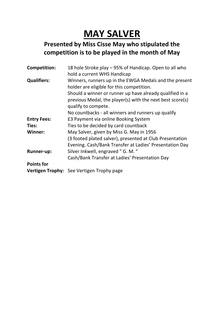# **MAY SALVER**

### **Presented by Miss Cisse May who stipulated the competition is to be played in the month of May**

| <b>Competition:</b> | 18 hole Stroke play - 95% of Handicap. Open to all who    |
|---------------------|-----------------------------------------------------------|
|                     | hold a current WHS Handicap                               |
| <b>Qualifiers:</b>  | Winners, runners up in the EWGA Medals and the present    |
|                     | holder are eligible for this competition.                 |
|                     | Should a winner or runner up have already qualified in a  |
|                     | previous Medal, the player(s) with the next best score(s) |
|                     | qualify to compete.                                       |
|                     | No countbacks - all winners and runners up qualify        |
| <b>Entry Fees:</b>  | £3 Payment via online Booking System                      |
| Ties:               | Ties to be decided by card countback                      |
| <b>Winner:</b>      | May Salver, given by Miss G. May in 1956                  |
|                     | (3 footed plated salver), presented at Club Presentation  |
|                     | Evening. Cash/Bank Transfer at Ladies' Presentation Day   |
| <b>Runner-up:</b>   | Silver Inkwell, engraved "G. M."                          |
|                     | Cash/Bank Transfer at Ladies' Presentation Day            |
| <b>Points for</b>   |                                                           |
|                     | Vertigen Trophy: See Vertigen Trophy page                 |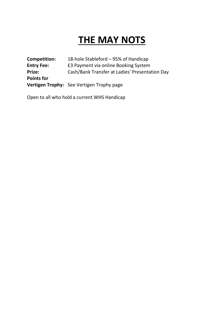# **THE MAY NOTS**

| Competition:      | 18-hole Stableford – 95% of Handicap           |
|-------------------|------------------------------------------------|
| <b>Entry Fee:</b> | £3 Payment via online Booking System           |
| Prize:            | Cash/Bank Transfer at Ladies' Presentation Day |
| <b>Points for</b> |                                                |
|                   | Vertigen Trophy: See Vertigen Trophy page      |

Open to all who hold a current WHS Handicap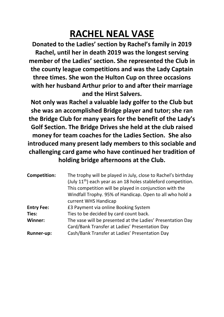# **RACHEL NEAL VASE**

**Donated to the Ladies' section by Rachel's family in 2019 Rachel, until her in death 2019 was the longest serving member of the Ladies' section. She represented the Club in the county league competitions and was the Lady Captain three times. She won the Hulton Cup on three occasions with her husband Arthur prior to and after their marriage and the Hirst Salvers.**

**Not only was Rachel a valuable lady golfer to the Club but she was an accomplished Bridge player and tutor; she ran the Bridge Club for many years for the benefit of the Lady's Golf Section. The Bridge Drives she held at the club raised money for team coaches for the Ladies Section. She also introduced many present lady members to this sociable and challenging card game who have continued her tradition of holding bridge afternoons at the Club.**

| <b>Competition:</b> | The trophy will be played in July, close to Rachel's birthday<br>(July 11 <sup>th</sup> ) each year as an 18 holes stableford competition.<br>This competition will be played in conjunction with the<br>Windfall Trophy. 95% of Handicap. Open to all who hold a<br>current WHS Handicap |
|---------------------|-------------------------------------------------------------------------------------------------------------------------------------------------------------------------------------------------------------------------------------------------------------------------------------------|
| <b>Entry Fee:</b>   | £3 Payment via online Booking System                                                                                                                                                                                                                                                      |
| Ties:               | Ties to be decided by card count back.                                                                                                                                                                                                                                                    |
| <b>Winner:</b>      | The vase will be presented at the Ladies' Presentation Day                                                                                                                                                                                                                                |
|                     | Card/Bank Transfer at Ladies' Presentation Day                                                                                                                                                                                                                                            |
| <b>Runner-up:</b>   | Cash/Bank Transfer at Ladies' Presentation Day                                                                                                                                                                                                                                            |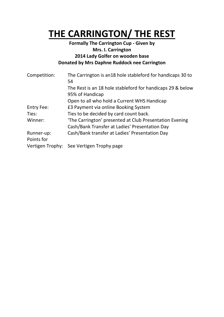### **THE CARRINGTON/ THE REST**

#### **Formally The Carrington Cup - Given by Mrs. I. Carrington 2014 Lady Golfer on wooden base Donated by Mrs Daphne Ruddock nee Carrington**

| Competition:      | The Carrington is an 18 hole stableford for handicaps 30 to<br>54                                         |
|-------------------|-----------------------------------------------------------------------------------------------------------|
|                   | The Rest is an 18 hole stableford for handicaps 29 & below<br>95% of Handicap                             |
|                   | Open to all who hold a Current WHS Handicap                                                               |
| <b>Entry Fee:</b> | £3 Payment via online Booking System                                                                      |
| Ties:             | Ties to be decided by card count back.                                                                    |
| Winner:           | 'The Carrington' presented at Club Presentation Evening<br>Cash/Bank Transfer at Ladies' Presentation Day |
| Runner-up:        | Cash/Bank transfer at Ladies' Presentation Day                                                            |
| Points for        |                                                                                                           |
|                   | Vertigen Trophy: See Vertigen Trophy page                                                                 |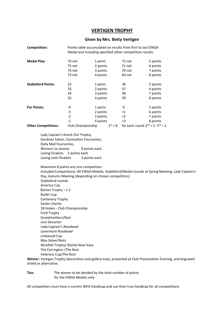#### **VERTIGEN TROPHY**

#### **Given by Mrs. Betty Vertigen**

| Competition:                                                                                                                                                                                                                                                                                                                                                                                                                                                                       |                   | Points table accumulated on results from first to last EWGA<br>Medal and including specified other competition results. |        |                                                                                                              |
|------------------------------------------------------------------------------------------------------------------------------------------------------------------------------------------------------------------------------------------------------------------------------------------------------------------------------------------------------------------------------------------------------------------------------------------------------------------------------------|-------------------|-------------------------------------------------------------------------------------------------------------------------|--------|--------------------------------------------------------------------------------------------------------------|
| <b>Medal Play:</b>                                                                                                                                                                                                                                                                                                                                                                                                                                                                 | 76 net            | 1 point                                                                                                                 | 72 net | 5 points                                                                                                     |
|                                                                                                                                                                                                                                                                                                                                                                                                                                                                                    | 75 net            | 2 points                                                                                                                | 71 net | 6 points                                                                                                     |
|                                                                                                                                                                                                                                                                                                                                                                                                                                                                                    | 74 net            | 3 points                                                                                                                | 70 net | 7 points                                                                                                     |
|                                                                                                                                                                                                                                                                                                                                                                                                                                                                                    | 73 net            | 4 points                                                                                                                | 69 net | 8 points                                                                                                     |
|                                                                                                                                                                                                                                                                                                                                                                                                                                                                                    |                   |                                                                                                                         |        |                                                                                                              |
| <b>Stableford Points:</b>                                                                                                                                                                                                                                                                                                                                                                                                                                                          | 32                | 1 point                                                                                                                 | 36     | 5 points                                                                                                     |
|                                                                                                                                                                                                                                                                                                                                                                                                                                                                                    | 33                | 2 points                                                                                                                | 37     | 6 points                                                                                                     |
|                                                                                                                                                                                                                                                                                                                                                                                                                                                                                    | 34                | 3 points                                                                                                                | 38     | 7 points                                                                                                     |
|                                                                                                                                                                                                                                                                                                                                                                                                                                                                                    | 35                | 4 points                                                                                                                | 39     | 8 points                                                                                                     |
| <b>Par Points:</b>                                                                                                                                                                                                                                                                                                                                                                                                                                                                 | -4                | 1 point                                                                                                                 | 0      | 5 points                                                                                                     |
|                                                                                                                                                                                                                                                                                                                                                                                                                                                                                    | $-3$              | 2 points                                                                                                                | +1     | 6 points                                                                                                     |
|                                                                                                                                                                                                                                                                                                                                                                                                                                                                                    | $-2$              | 3 points                                                                                                                | $+2$   | 7 points                                                                                                     |
|                                                                                                                                                                                                                                                                                                                                                                                                                                                                                    | $-1$              | 4 points                                                                                                                | $+3$   | 8 points                                                                                                     |
| <b>Other Competitions:</b>                                                                                                                                                                                                                                                                                                                                                                                                                                                         | Club Championship | $1^{st} = 8$                                                                                                            |        | for each round $2^{nd} = 5$ $3^{rd} = 2$                                                                     |
| Winners to receive<br><b>Losing Finalists</b><br>Losing semi-finalists<br>Maximum 8 points any one competition.<br>Stableford rounds<br>America Cup<br>Barton Trophy $-x$ 2<br><b>Butler Cup</b><br>Centenary Trophy<br>Easter charity<br>18 Holers - Club Championship<br>Ford Trophy<br>Grandmothers/Rest<br>Jura Decanter<br>Lady Captain's Rosebowl<br>Levermore Rosebowl<br>Linkwood Cup<br>May Salver/Nots<br>Windfall Trophy/ Rachel Neal Vase<br>The Carrington / The Rest | 5 points each     | 8 points each.<br>2 points each<br>Day, Autumn Meeting (depending on chosen competition)                                |        | Included Competitions: All EWGA Medals, Stableford/Medal rounds at Spring Meeting, Lady Captain's            |
| Veterans Cup/The Rest                                                                                                                                                                                                                                                                                                                                                                                                                                                              |                   |                                                                                                                         |        | Winner: Vertigen Trophy (decorative oval gallery tray), presented at Club Presentation Evening, and engraved |
|                                                                                                                                                                                                                                                                                                                                                                                                                                                                                    |                   |                                                                                                                         |        |                                                                                                              |

**Ties:** The winner to be decided by the total number of points for the EWGA Medals only

shield or alternative.

All competitors must have a current WHS Handicap and use their true handicap for all competitions.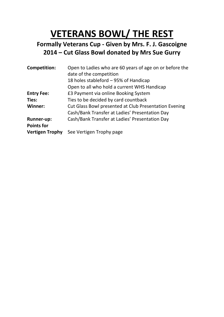# **VETERANS BOWL/ THE REST**

### **Formally Veterans Cup - Given by Mrs. F. J. Gascoigne 2014 – Cut Glass Bowl donated by Mrs Sue Gurry**

| <b>Competition:</b>    | Open to Ladies who are 60 years of age on or before the<br>date of the competition |
|------------------------|------------------------------------------------------------------------------------|
|                        | 18 holes stableford - 95% of Handicap                                              |
|                        | Open to all who hold a current WHS Handicap                                        |
| <b>Entry Fee:</b>      | £3 Payment via online Booking System                                               |
| Ties:                  | Ties to be decided by card countback                                               |
| Winner:                | Cut Glass Bowl presented at Club Presentation Evening                              |
|                        | Cash/Bank Transfer at Ladies' Presentation Day                                     |
| <b>Runner-up:</b>      | Cash/Bank Transfer at Ladies' Presentation Day                                     |
| <b>Points for</b>      |                                                                                    |
| <b>Vertigen Trophy</b> | See Vertigen Trophy page                                                           |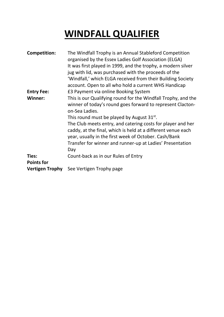# **WINDFALL QUALIFIER**

| <b>Competition:</b>    | The Windfall Trophy is an Annual Stableford Competition<br>organised by the Essex Ladies Golf Association (ELGA)<br>It was first played in 1999, and the trophy, a modern silver<br>jug with lid, was purchased with the proceeds of the<br>'Windfall,' which ELGA received from their Building Society<br>account. Open to all who hold a current WHS Handicap                                                                                              |
|------------------------|--------------------------------------------------------------------------------------------------------------------------------------------------------------------------------------------------------------------------------------------------------------------------------------------------------------------------------------------------------------------------------------------------------------------------------------------------------------|
| <b>Entry Fee:</b>      | £3 Payment via online Booking System                                                                                                                                                                                                                                                                                                                                                                                                                         |
| Winner:                | This is our Qualifying round for the Windfall Trophy, and the<br>winner of today's round goes forward to represent Clacton-<br>on-Sea Ladies.<br>This round must be played by August $31^{st}$ .<br>The Club meets entry, and catering costs for player and her<br>caddy, at the final, which is held at a different venue each<br>year, usually in the first week of October. Cash/Bank<br>Transfer for winner and runner-up at Ladies' Presentation<br>Day |
| Ties:                  | Count-back as in our Rules of Entry                                                                                                                                                                                                                                                                                                                                                                                                                          |
| <b>Points for</b>      |                                                                                                                                                                                                                                                                                                                                                                                                                                                              |
| <b>Vertigen Trophy</b> | See Vertigen Trophy page                                                                                                                                                                                                                                                                                                                                                                                                                                     |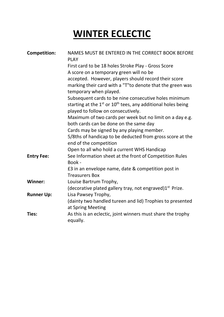# **WINTER ECLECTIC**

| <b>Competition:</b> | NAMES MUST BE ENTERED IN THE CORRECT BOOK BEFORE<br><b>PLAY</b>                                              |
|---------------------|--------------------------------------------------------------------------------------------------------------|
|                     | First card to be 18 holes Stroke Play - Gross Score                                                          |
|                     | A score on a temporary green will no be                                                                      |
|                     | accepted. However, players should record their score                                                         |
|                     | marking their card with a "T"to denote that the green was<br>temporary when played.                          |
|                     | Subsequent cards to be nine consecutive holes minimum                                                        |
|                     | starting at the $1^{st}$ or $10^{th}$ tees, any additional holes being<br>played to follow on consecutively. |
|                     | Maximum of two cards per week but no limit on a day e.g.                                                     |
|                     | both cards can be done on the same day                                                                       |
|                     | Cards may be signed by any playing member.                                                                   |
|                     | 5/8ths of handicap to be deducted from gross score at the<br>end of the competition                          |
|                     | Open to all who hold a current WHS Handicap                                                                  |
| <b>Entry Fee:</b>   | See Information sheet at the front of Competition Rules<br>Book -                                            |
|                     | £3 in an envelope name, date & competition post in                                                           |
|                     | <b>Treasurers Box</b>                                                                                        |
| Winner:             | Louise Bartrum Trophy,                                                                                       |
|                     | (decorative plated gallery tray, not engraved)1 <sup>st</sup> Prize.                                         |
| <b>Runner Up:</b>   | Lisa Pawsey Trophy,                                                                                          |
|                     | (dainty two handled tureen and lid) Trophies to presented                                                    |
|                     | at Spring Meeting                                                                                            |
| Ties:               | As this is an eclectic, joint winners must share the trophy<br>equally.                                      |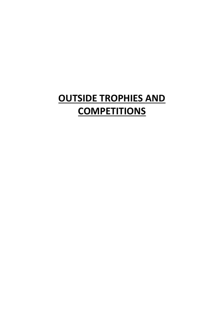# **OUTSIDE TROPHIES AND COMPETITIONS**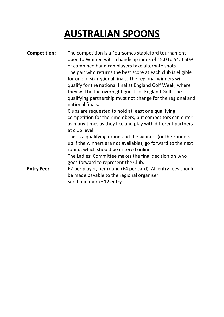# **AUSTRALIAN SPOONS**

| <b>Competition:</b> | The competition is a Foursomes stableford tournament<br>open to Women with a handicap index of 15.0 to 54.0 50%<br>of combined handicap players take alternate shots<br>The pair who returns the best score at each club is eligible<br>for one of six regional finals. The regional winners will<br>qualify for the national final at England Golf Week, where<br>they will be the overnight guests of England Golf. The<br>qualifying partnership must not change for the regional and<br>national finals.<br>Clubs are requested to hold at least one qualifying<br>competition for their members, but competitors can enter<br>as many times as they like and play with different partners<br>at club level.<br>This is a qualifying round and the winners (or the runners<br>up if the winners are not available), go forward to the next<br>round, which should be entered online<br>The Ladies' Committee makes the final decision on who<br>goes forward to represent the Club. |
|---------------------|-----------------------------------------------------------------------------------------------------------------------------------------------------------------------------------------------------------------------------------------------------------------------------------------------------------------------------------------------------------------------------------------------------------------------------------------------------------------------------------------------------------------------------------------------------------------------------------------------------------------------------------------------------------------------------------------------------------------------------------------------------------------------------------------------------------------------------------------------------------------------------------------------------------------------------------------------------------------------------------------|
| <b>Entry Fee:</b>   | £2 per player, per round (£4 per card). All entry fees should<br>be made payable to the regional organiser.<br>Send minimum £12 entry                                                                                                                                                                                                                                                                                                                                                                                                                                                                                                                                                                                                                                                                                                                                                                                                                                                   |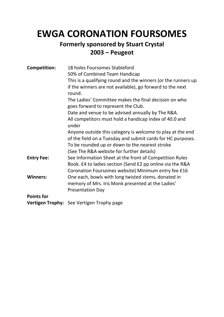### **EWGA CORONATION FOURSOMES**

### **Formerly sponsored by Stuart Crystal 2003 – Peugeot**

| <b>Competition:</b> | 18 holes Foursomes Stableford<br>50% of Combined Team Handicap<br>This is a qualifying round and the winners (or the runners up<br>if the winners are not available), go forward to the next<br>round.<br>The Ladies' Committee makes the final decision on who<br>goes forward to represent the Club.<br>Date and venue to be advised annually by The R&A.<br>All competitors must hold a handicap index of 40.0 and<br>under<br>Anyone outside this category is welcome to play at the end<br>of the field on a Tuesday and submit cards for HC purposes. |
|---------------------|-------------------------------------------------------------------------------------------------------------------------------------------------------------------------------------------------------------------------------------------------------------------------------------------------------------------------------------------------------------------------------------------------------------------------------------------------------------------------------------------------------------------------------------------------------------|
|                     | To be rounded up or down to the nearest stroke<br>(See The R&A website for further details)                                                                                                                                                                                                                                                                                                                                                                                                                                                                 |
| <b>Entry Fee:</b>   | See Information Sheet at the front of Competition Rules<br>Book. £4 to ladies section (Send £2 pp online via the R&A<br>Coronation Foursomes website) Minimum entry fee £16                                                                                                                                                                                                                                                                                                                                                                                 |
| <b>Winners:</b>     | One each, bowls with long twisted stems, donated in<br>memory of Mrs. Iris Monk presented at the Ladies'<br><b>Presentation Day</b>                                                                                                                                                                                                                                                                                                                                                                                                                         |
| <b>Points for</b>   |                                                                                                                                                                                                                                                                                                                                                                                                                                                                                                                                                             |
|                     | <b>Vertigen Trophy:</b> See Vertigen Trophy page                                                                                                                                                                                                                                                                                                                                                                                                                                                                                                            |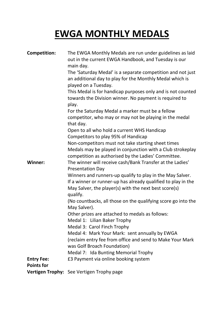# **EWGA MONTHLY MEDALS**

| <b>Competition:</b> | The EWGA Monthly Medals are run under guidelines as laid<br>out in the current EWGA Handbook, and Tuesday is our<br>main day.                                                                   |
|---------------------|-------------------------------------------------------------------------------------------------------------------------------------------------------------------------------------------------|
|                     | The 'Saturday Medal' is a separate competition and not just<br>an additional day to play for the Monthly Medal which is<br>played on a Tuesday.                                                 |
|                     | This Medal is for handicap purposes only and is not counted<br>towards the Division winner. No payment is required to<br>play.                                                                  |
|                     | For the Saturday Medal a marker must be a fellow<br>competitor, who may or may not be playing in the medal                                                                                      |
|                     | that day.<br>Open to all who hold a current WHS Handicap<br>Competitors to play 95% of Handicap                                                                                                 |
|                     | Non-competitors must not take starting sheet times<br>Medals may be played in conjunction with a Club strokeplay<br>competition as authorised by the Ladies' Committee.                         |
| <b>Winner:</b>      | The winner will receive cash/Bank Transfer at the Ladies'<br><b>Presentation Day</b>                                                                                                            |
|                     | Winners and runners-up qualify to play in the May Salver.<br>If a winner or runner-up has already qualified to play in the<br>May Salver, the player(s) with the next best score(s)<br>qualify. |
|                     | (No countbacks, all those on the qualifying score go into the<br>May Salver).                                                                                                                   |
|                     | Other prizes are attached to medals as follows:<br>Medal 1: Lilian Baker Trophy                                                                                                                 |
|                     | Medal 3: Carol Finch Trophy                                                                                                                                                                     |
|                     | Medal 4: Mark Your Mark: sent annually by EWGA<br>(reclaim entry fee from office and send to Make Your Mark                                                                                     |
|                     | was Golf Broach Foundation)                                                                                                                                                                     |
|                     | Medal 7: Ida Bunting Memorial Trophy                                                                                                                                                            |
| <b>Entry Fee:</b>   | £3 Payment via online booking system                                                                                                                                                            |
| <b>Points for</b>   |                                                                                                                                                                                                 |
|                     | <b>Vertigen Trophy:</b> See Vertigen Trophy page                                                                                                                                                |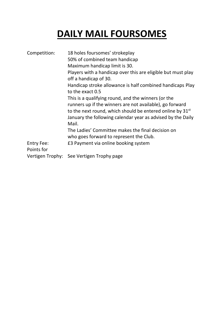# **DAILY MAIL FOURSOMES**

| Competition:                    | 18 holes foursomes' strokeplay<br>50% of combined team handicap<br>Maximum handicap limit is 30.<br>Players with a handicap over this are eligible but must play<br>off a handicap of 30.<br>Handicap stroke allowance is half combined handicaps Play<br>to the exact 0.5<br>This is a qualifying round, and the winners (or the<br>runners up if the winners are not available), go forward<br>to the next round, which should be entered online by 31 <sup>st</sup><br>January the following calendar year as advised by the Daily<br>Mail.<br>The Ladies' Committee makes the final decision on<br>who goes forward to represent the Club. |
|---------------------------------|------------------------------------------------------------------------------------------------------------------------------------------------------------------------------------------------------------------------------------------------------------------------------------------------------------------------------------------------------------------------------------------------------------------------------------------------------------------------------------------------------------------------------------------------------------------------------------------------------------------------------------------------|
| <b>Entry Fee:</b><br>Points for | £3 Payment via online booking system                                                                                                                                                                                                                                                                                                                                                                                                                                                                                                                                                                                                           |
|                                 | Vertigen Trophy: See Vertigen Trophy page                                                                                                                                                                                                                                                                                                                                                                                                                                                                                                                                                                                                      |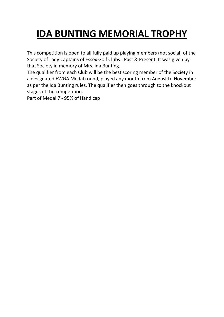# **IDA BUNTING MEMORIAL TROPHY**

This competition is open to all fully paid up playing members (not social) of the Society of Lady Captains of Essex Golf Clubs - Past & Present. It was given by that Society in memory of Mrs. Ida Bunting.

The qualifier from each Club will be the best scoring member of the Society in a designated EWGA Medal round, played any month from August to November as per the Ida Bunting rules. The qualifier then goes through to the knockout stages of the competition.

Part of Medal 7 - 95% of Handicap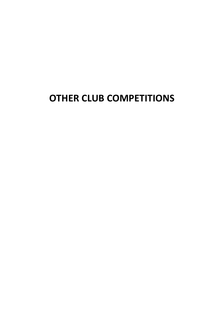### **OTHER CLUB COMPETITIONS**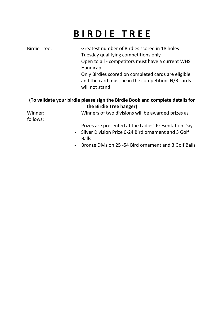# **B I R D I E T R E E**

| <b>Birdie Tree:</b> | Greatest number of Birdies scored in 18 holes                                 |
|---------------------|-------------------------------------------------------------------------------|
|                     | Tuesday qualifying competitions only                                          |
|                     | Open to all - competitors must have a current WHS<br>Handicap                 |
|                     | Only Birdies scored on completed cards are eligible                           |
|                     | and the card must be in the competition. N/R cards<br>will not stand          |
|                     | (To validate your birdie please sign the Birdie Book and complete details for |

**the Birdie Tree hanger)** Winner: Winners of two divisions will be awarded prizes as follows: Prizes are presented at the Ladies' Presentation Day

- Silver Division Prize 0-24 Bird ornament and 3 Golf Balls
- Bronze Division 25 -54 Bird ornament and 3 Golf Balls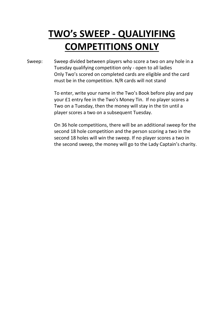# **TWO's SWEEP - QUALIYIFING COMPETITIONS ONLY**

Sweep: Sweep divided between players who score a two on any hole in a Tuesday qualifying competition only - open to all ladies Only Two's scored on completed cards are eligible and the card must be in the competition. N/R cards will not stand

> To enter, write your name in the Two's Book before play and pay your £1 entry fee in the Two's Money Tin. If no player scores a Two on a Tuesday, then the money will stay in the tin until a player scores a two on a subsequent Tuesday.

On 36 hole competitions, there will be an additional sweep for the second 18 hole competition and the person scoring a two in the second 18 holes will win the sweep. If no player scores a two in the second sweep, the money will go to the Lady Captain's charity.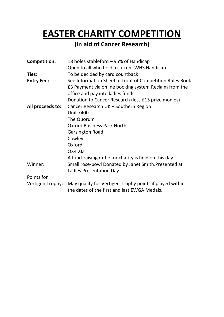### **EASTER CHARITY COMPETITION**

### **(in aid of Cancer Research)**

| <b>Competition:</b> | 18 holes stableford – 95% of Handicap                                                                   |
|---------------------|---------------------------------------------------------------------------------------------------------|
|                     | Open to all who hold a current WHS Handicap                                                             |
| Ties:               | To be decided by card countback                                                                         |
| <b>Entry Fee:</b>   | See Information Sheet at front of Competition Rules Book                                                |
|                     | £3 Payment via online booking system Reclaim from the                                                   |
|                     | office and pay into ladies funds.                                                                       |
|                     | Donation to Cancer Research (less £15 prize monies)                                                     |
| All proceeds to:    | Cancer Research UK - Southern Region                                                                    |
|                     | <b>Unit 7400</b>                                                                                        |
|                     | The Quorum                                                                                              |
|                     | <b>Oxford Business Park North</b>                                                                       |
|                     | <b>Garsington Road</b>                                                                                  |
|                     | Cowley                                                                                                  |
|                     | Oxford                                                                                                  |
|                     | <b>OX4 2JZ</b>                                                                                          |
|                     | A fund-raising raffle for charity is held on this day.                                                  |
| Winner:             | Small rose-bowl Donated by Janet Smith.Presented at                                                     |
|                     | Ladies Presentation Day                                                                                 |
| Points for          |                                                                                                         |
| Vertigen Trophy:    | May qualify for Vertigen Trophy points if played within<br>the dates of the first and last EWGA Medals. |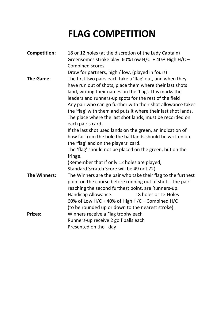### **FLAG COMPETITION**

| <b>Competition:</b> | 18 or 12 holes (at the discretion of the Lady Captain)<br>Greensomes stroke play 60% Low H/C + 40% High H/C -<br><b>Combined scores</b>                                                                                                                                                                                                                                                                                                                     |
|---------------------|-------------------------------------------------------------------------------------------------------------------------------------------------------------------------------------------------------------------------------------------------------------------------------------------------------------------------------------------------------------------------------------------------------------------------------------------------------------|
|                     | Draw for partners, high / low, (played in fours)                                                                                                                                                                                                                                                                                                                                                                                                            |
| The Game:           | The first two pairs each take a 'flag' out, and when they<br>have run out of shots, place them where their last shots<br>land, writing their names on the 'flag'. This marks the<br>leaders and runners-up spots for the rest of the field<br>Any pair who can go further with their shot allowance takes<br>the 'flag' with them and puts it where their last shot lands.<br>The place where the last shot lands, must be recorded on<br>each pair's card. |
|                     | If the last shot used lands on the green, an indication of<br>how far from the hole the ball lands should be written on<br>the 'flag' and on the players' card.<br>The 'flag' should not be placed on the green, but on the<br>fringe.                                                                                                                                                                                                                      |
|                     | (Remember that if only 12 holes are played,                                                                                                                                                                                                                                                                                                                                                                                                                 |
|                     | Standard Scratch Score will be 49 not 72)                                                                                                                                                                                                                                                                                                                                                                                                                   |
| <b>The Winners:</b> | The Winners are the pair who take their flag to the furthest<br>point on the course before running out of shots. The pair<br>reaching the second furthest point, are Runners-up.<br>Handicap Allowance:<br>18 holes or 12 Holes<br>60% of Low H/C + 40% of High H/C – Combined H/C<br>(to be rounded up or down to the nearest stroke).                                                                                                                     |
| <b>Prizes:</b>      | Winners receive a Flag trophy each<br>Runners-up receive 2 golf balls each<br>Presented on the day                                                                                                                                                                                                                                                                                                                                                          |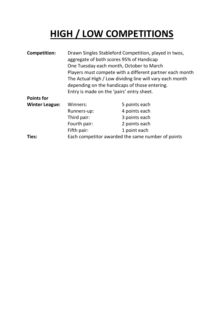# **HIGH / LOW COMPETITIONS**

| <b>Competition:</b>   | Drawn Singles Stableford Competition, played in twos,<br>aggregate of both scores 95% of Handicap<br>One Tuesday each month, October to March<br>Players must compete with a different partner each month<br>The Actual High / Low dividing line will vary each month<br>depending on the handicaps of those entering.<br>Entry is made on the 'pairs' entry sheet. |               |  |  |
|-----------------------|---------------------------------------------------------------------------------------------------------------------------------------------------------------------------------------------------------------------------------------------------------------------------------------------------------------------------------------------------------------------|---------------|--|--|
| <b>Points for</b>     |                                                                                                                                                                                                                                                                                                                                                                     |               |  |  |
| <b>Winter League:</b> | Winners:                                                                                                                                                                                                                                                                                                                                                            | 5 points each |  |  |
|                       | Runners-up:                                                                                                                                                                                                                                                                                                                                                         | 4 points each |  |  |
|                       | Third pair:                                                                                                                                                                                                                                                                                                                                                         | 3 points each |  |  |
|                       | Fourth pair:                                                                                                                                                                                                                                                                                                                                                        | 2 points each |  |  |
|                       | Fifth pair:                                                                                                                                                                                                                                                                                                                                                         | 1 point each  |  |  |
| Ties:                 | Each competitor awarded the same number of points                                                                                                                                                                                                                                                                                                                   |               |  |  |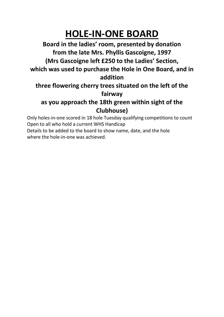### **HOLE-IN-ONE BOARD**

**Board in the ladies' room, presented by donation from the late Mrs. Phyllis Gascoigne, 1997 (Mrs Gascoigne left £250 to the Ladies' Section, which was used to purchase the Hole in One Board, and in addition**

### **three flowering cherry trees situated on the left of the fairway**

### **as you approach the 18th green within sight of the Clubhouse)**

Only holes-in-one scored in 18 hole Tuesday qualifying competitions to count Open to all who hold a current WHS Handicap

Details to be added to the board to show name, date, and the hole where the hole-in-one was achieved.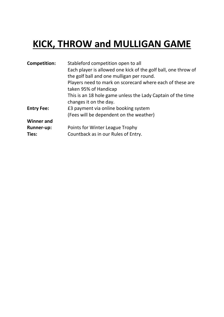# **KICK, THROW and MULLIGAN GAME**

| <b>Competition:</b> | Stableford competition open to all                             |
|---------------------|----------------------------------------------------------------|
|                     | Each player is allowed one kick of the golf ball, one throw of |
|                     | the golf ball and one mulligan per round.                      |
|                     | Players need to mark on scorecard where each of these are      |
|                     | taken 95% of Handicap                                          |
|                     | This is an 18 hole game unless the Lady Captain of the time    |
|                     | changes it on the day.                                         |
| <b>Entry Fee:</b>   | £3 payment via online booking system                           |
|                     | (Fees will be dependent on the weather)                        |
| <b>Winner and</b>   |                                                                |
| <b>Runner-up:</b>   | Points for Winter League Trophy                                |
| Ties:               | Countback as in our Rules of Entry.                            |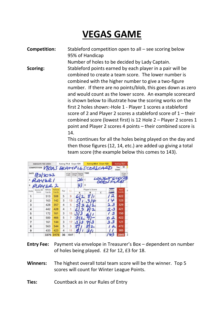# **VEGAS GAME**

**Competition:** Stableford competition open to all – see scoring below 95% of Handicap Number of holes to be decided by Lady Captain. **Scoring:** Stableford points earned by each player in a pair will be combined to create a team score. The lower number is combined with the higher number to give a two-figure number. If there are no points/blob, this goes down as zero and would count as the lower score. An example scorecard is shown below to illustrate how the scoring works on the first 2 holes shown:-Hole 1 - Player 1 scores a stableford score of 2 and Player 2 scores a stableford score of 1 – their combined score (lowest first) is 12 Hole 2 – Player 2 scores 1 point and Player 2 scores 4 points – their combined score is 14.

> This continues for all the holes being played on the day and then those figures (12, 14, etc.) are added up giving a total team score (the example below this comes to 143).

| Rating 71.4 Slope 131<br>INDICATE TEE USED: |                                     |                |                 |     | Rating 69.4 Slope 123 |        |              |   |                     |       | Rating 72.1             |                     |       |   |
|---------------------------------------------|-------------------------------------|----------------|-----------------|-----|-----------------------|--------|--------------|---|---------------------|-------|-------------------------|---------------------|-------|---|
|                                             | COMPETITION VECALS SKAMPLESCONSCARD |                |                 |     |                       |        |              |   |                     |       |                         | Tee<br>Used         | W     |   |
| DATE                                        |                                     |                |                 |     | <b>H'Cap</b><br>Index | Course | Playing TIME |   |                     |       |                         |                     | H'Cap |   |
| 92/2022<br>AYER 1                           |                                     |                |                 |     |                       |        | 26c          |   |                     | LOWER |                         |                     |       |   |
| B                                           |                                     | 194522         |                 |     |                       |        |              | D |                     |       |                         |                     |       |   |
| Hole                                        | Marker/D<br>Score                   | White<br>Yards | Yellow<br>Yards | Par | S.I.                  |        | Α            |   | Player's Score<br>B | c     | <b>BASICUS</b><br>Score | Red<br><b>Yards</b> |       | P |
| 1                                           |                                     | 513            | 508             | 5   | 9                     |        |              |   |                     |       | 2                       | 422                 |       |   |
| $\overline{2}$                              |                                     | 163            | 142             | 3   | 13                    |        |              |   |                     |       | v                       | 123                 |       |   |
| 3                                           |                                     | 428            | 357             | 4   | 5                     |        |              |   |                     |       | 2.3                     | 329                 |       |   |
| $\overline{\bf{4}}$                         |                                     | 442            | 428             | 4   | 1                     |        |              |   |                     |       | 23                      | 421                 |       |   |
| 5                                           |                                     | 172            | 161             | 3   | 15                    |        |              |   |                     |       | 3                       | 150                 |       |   |
| 6                                           |                                     | 500            | 466             | 5   | 7                     |        |              |   |                     |       |                         | 422                 |       |   |
| 7                                           |                                     | 161            | 144             | 3   | 17                    |        |              |   |                     |       | 3.3                     | 121                 |       |   |
| 8                                           |                                     | 563            | 544             | 5   | 3                     |        |              |   |                     |       | o                       | 472                 |       |   |
| 9                                           |                                     | 433            | 423             | 4   | 11                    |        |              |   |                     |       |                         | 385                 |       |   |
|                                             |                                     | 3375           | 3173            | 36  | OUT                   |        |              |   |                     |       |                         | 2845                |       | Е |

- **Entry Fee:** Payment via envelope in Treasurer's Box dependent on number of holes being played. £2 for 12, £3 for 18.
- **Winners:** The highest overall total team score will be the winner. Top 5 scores will count for Winter League Points.

**Ties:** Countback as in our Rules of Entry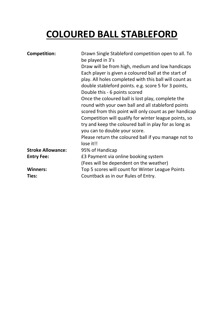# **COLOURED BALL STABLEFORD**

| <b>Competition:</b>      | Drawn Single Stableford competition open to all. To<br>be played in 3's<br>Draw will be from high, medium and low handicaps<br>Each player is given a coloured ball at the start of<br>play. All holes completed with this ball will count as<br>double stableford points. e.g. score 5 for 3 points,                                                                                                                      |
|--------------------------|----------------------------------------------------------------------------------------------------------------------------------------------------------------------------------------------------------------------------------------------------------------------------------------------------------------------------------------------------------------------------------------------------------------------------|
|                          | Double this - 6 points scored<br>Once the coloured ball is lost play, complete the<br>round with your own ball and all stableford points<br>scored from this point will only count as per handicap<br>Competition will qualify for winter league points, so<br>try and keep the coloured ball in play for as long as<br>you can to double your score.<br>Please return the coloured ball if you manage not to<br>lose it!! |
| <b>Stroke Allowance:</b> | 95% of Handicap                                                                                                                                                                                                                                                                                                                                                                                                            |
| <b>Entry Fee:</b>        | £3 Payment via online booking system<br>(Fees will be dependent on the weather)                                                                                                                                                                                                                                                                                                                                            |
| <b>Winners:</b><br>Ties: | Top 5 scores will count for Winter League Points<br>Countback as in our Rules of Entry.                                                                                                                                                                                                                                                                                                                                    |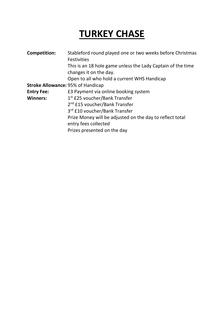# **TURKEY CHASE**

| <b>Competition:</b>                      | Stableford round played one or two weeks before Christmas<br><b>Festivities</b>       |
|------------------------------------------|---------------------------------------------------------------------------------------|
|                                          | This is an 18 hole game unless the Lady Captain of the time<br>changes it on the day. |
|                                          | Open to all who hold a current WHS Handicap                                           |
| <b>Stroke Allowance: 95% of Handicap</b> |                                                                                       |
| <b>Entry Fee:</b>                        | £3 Payment via online booking system                                                  |
| <b>Winners:</b>                          | 1 <sup>st</sup> £25 voucher/Bank Transfer                                             |
|                                          | 2 <sup>nd</sup> £15 voucher/Bank Transfer                                             |
|                                          | 3rd £10 voucher/Bank Transfer                                                         |
|                                          | Prize Money will be adjusted on the day to reflect total<br>entry fees collected      |
|                                          | Prizes presented on the day                                                           |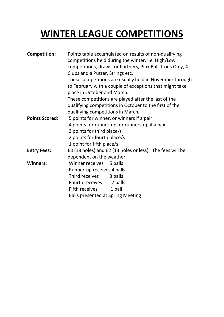## **WINTER LEAGUE COMPETITIONS**

| <b>Competition:</b>   | Points table accumulated on results of non-qualifying<br>competitions held during the winter, i.e. High/Low<br>competitions, draws for Partners, Pink Ball, Irons Only, 4<br>Clubs and a Putter, Strings etc. |  |  |  |  |
|-----------------------|---------------------------------------------------------------------------------------------------------------------------------------------------------------------------------------------------------------|--|--|--|--|
|                       | These competitions are usually held in November through<br>to February with a couple of exceptions that might take<br>place in October and March.                                                             |  |  |  |  |
|                       | These competitions are played after the last of the                                                                                                                                                           |  |  |  |  |
|                       | qualifying competitions in October to the first of the                                                                                                                                                        |  |  |  |  |
|                       | qualifying competitions in March.                                                                                                                                                                             |  |  |  |  |
| <b>Points Scored:</b> | 5 points for winner, or winners if a pair                                                                                                                                                                     |  |  |  |  |
|                       | 4 points for runner-up, or runners-up if a pair                                                                                                                                                               |  |  |  |  |
|                       | 3 points for third place/s                                                                                                                                                                                    |  |  |  |  |
|                       | 2 points for fourth place/s                                                                                                                                                                                   |  |  |  |  |
|                       | 1 point for fifth place/s                                                                                                                                                                                     |  |  |  |  |
| <b>Entry Fees:</b>    | £3 (18 holes) and £2 (13 holes or less). The fees will be                                                                                                                                                     |  |  |  |  |
|                       | dependent on the weather.                                                                                                                                                                                     |  |  |  |  |
| <b>Winners:</b>       | Winner receives 5 balls                                                                                                                                                                                       |  |  |  |  |
|                       | Runner-up receives 4 balls                                                                                                                                                                                    |  |  |  |  |
|                       | Third receives<br>3 balls                                                                                                                                                                                     |  |  |  |  |
|                       | Fourth receives 2 balls                                                                                                                                                                                       |  |  |  |  |
|                       | Fifth receives<br>1 ball                                                                                                                                                                                      |  |  |  |  |
|                       | <b>Balls presented at Spring Meeting</b>                                                                                                                                                                      |  |  |  |  |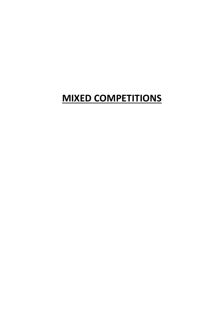### **MIXED COMPETITIONS**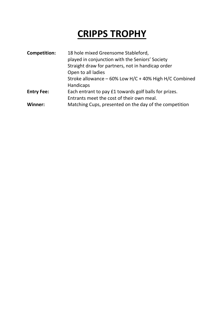## **CRIPPS TROPHY**

| <b>Competition:</b> | 18 hole mixed Greensome Stableford,<br>played in conjunction with the Seniors' Society<br>Straight draw for partners, not in handicap order<br>Open to all ladies<br>Stroke allowance $-60\%$ Low H/C + 40% High H/C Combined<br>Handicaps |
|---------------------|--------------------------------------------------------------------------------------------------------------------------------------------------------------------------------------------------------------------------------------------|
| <b>Entry Fee:</b>   | Each entrant to pay £1 towards golf balls for prizes.<br>Entrants meet the cost of their own meal.                                                                                                                                         |
| Winner:             | Matching Cups, presented on the day of the competition                                                                                                                                                                                     |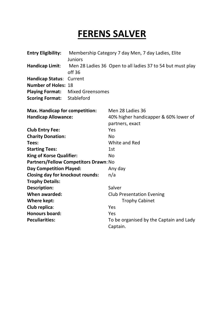### **FERENS SALVER**

| <b>Entry Eligibility:</b>               | Membership Category 7 day Men, 7 day Ladies, Elite<br>Juniors |                                                            |  |
|-----------------------------------------|---------------------------------------------------------------|------------------------------------------------------------|--|
| Handicap Limit:                         | off <sub>36</sub>                                             | Men 28 Ladies 36 Open to all ladies 37 to 54 but must play |  |
| <b>Handicap Status:</b>                 | Current                                                       |                                                            |  |
| <b>Number of Holes: 18</b>              |                                                               |                                                            |  |
| <b>Playing Format:</b>                  | <b>Mixed Greensomes</b>                                       |                                                            |  |
| <b>Scoring Format:</b>                  | Stableford                                                    |                                                            |  |
| <b>Max. Handicap for competition:</b>   |                                                               | Men 28 Ladies 36                                           |  |
| <b>Handicap Allowance:</b>              |                                                               | 40% higher handicapper & 60% lower of                      |  |
|                                         |                                                               | partners, exact                                            |  |
| <b>Club Entry Fee:</b>                  |                                                               | Yes                                                        |  |
| <b>Charity Donation:</b>                |                                                               | <b>No</b>                                                  |  |
| Tees:                                   |                                                               | White and Red                                              |  |
| <b>Starting Tees:</b>                   |                                                               | 1st                                                        |  |
| <b>King of Korse Qualifier:</b>         |                                                               | <b>No</b>                                                  |  |
|                                         | Partners/Fellow Competitors Drawn: No                         |                                                            |  |
| <b>Day Competition Played:</b>          |                                                               | Any day                                                    |  |
| <b>Closing day for knockout rounds:</b> |                                                               | n/a                                                        |  |
| <b>Trophy Details:</b>                  |                                                               |                                                            |  |
| <b>Description:</b>                     |                                                               | Salver                                                     |  |
| <b>When awarded:</b>                    |                                                               | <b>Club Presentation Evening</b>                           |  |
| <b>Where kept:</b>                      |                                                               | <b>Trophy Cabinet</b>                                      |  |
| Club replica:                           |                                                               | Yes                                                        |  |
| <b>Honours board:</b>                   |                                                               | Yes                                                        |  |
| <b>Peculiarities:</b>                   |                                                               | To be organised by the Captain and Lady                    |  |
|                                         |                                                               | Captain.                                                   |  |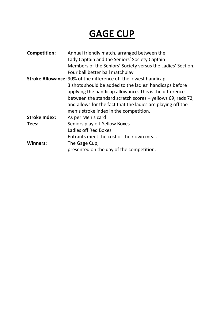### **GAGE CUP**

| Annual friendly match, arranged between the                            |
|------------------------------------------------------------------------|
| Lady Captain and the Seniors' Society Captain                          |
| Members of the Seniors' Society versus the Ladies' Section.            |
| Four ball better ball matchplay                                        |
| <b>Stroke Allowance: 90% of the difference off the lowest handicap</b> |
| 3 shots should be added to the ladies' handicaps before                |
| applying the handicap allowance. This is the difference                |
| between the standard scratch scores - yellows 69, reds 72,             |
| and allows for the fact that the ladies are playing off the            |
| men's stroke index in the competition.                                 |
| As per Men's card                                                      |
| Seniors play off Yellow Boxes                                          |
| Ladies off Red Boxes                                                   |
| Entrants meet the cost of their own meal.                              |
| The Gage Cup,                                                          |
| presented on the day of the competition.                               |
|                                                                        |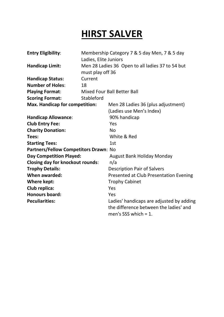### **HIRST SALVER**

| <b>Entry Eligibility:</b>               | Ladies, Elite Juniors | Membership Category 7 & 5 day Men, 7 & 5 day     |
|-----------------------------------------|-----------------------|--------------------------------------------------|
| <b>Handicap Limit:</b>                  | must play off 36      | Men 28 Ladies 36 Open to all ladies 37 to 54 but |
| <b>Handicap Status:</b>                 | Current               |                                                  |
| <b>Number of Holes:</b>                 | 18                    |                                                  |
| <b>Playing Format:</b>                  |                       | <b>Mixed Four Ball Better Ball</b>               |
| <b>Scoring Format:</b>                  | Stableford            |                                                  |
| <b>Max. Handicap for competition:</b>   |                       | Men 28 Ladies 36 (plus adjustment)               |
|                                         |                       | (Ladies use Men's Index)                         |
| <b>Handicap Allowance:</b>              |                       | 90% handicap                                     |
| <b>Club Entry Fee:</b>                  |                       | Yes                                              |
| <b>Charity Donation:</b>                |                       | <b>No</b>                                        |
| Tees:                                   |                       | White & Red                                      |
| <b>Starting Tees:</b>                   |                       | 1st                                              |
| Partners/Fellow Competitors Drawn: No   |                       |                                                  |
| <b>Day Competition Played:</b>          |                       | <b>August Bank Holiday Monday</b>                |
| <b>Closing day for knockout rounds:</b> |                       | n/a                                              |
| <b>Trophy Details:</b>                  |                       | <b>Description Pair of Salvers</b>               |
| <b>When awarded:</b>                    |                       | <b>Presented at Club Presentation Evening</b>    |
| Where kept:                             |                       | <b>Trophy Cabinet</b>                            |
| <b>Club replica:</b>                    |                       | Yes                                              |
| <b>Honours board:</b>                   |                       | Yes                                              |
| <b>Peculiarities:</b>                   |                       | Ladies' handicaps are adjusted by adding         |
|                                         |                       | the difference between the ladies' and           |
|                                         |                       | men's SSS which $= 1$ .                          |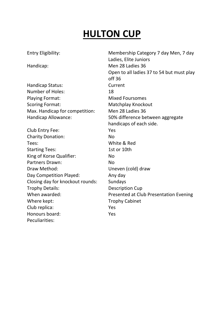### **HULTON CUP**

| <b>Entry Eligibility:</b>        | Membership Category 7 day Men, 7 day<br>Ladies, Elite Juniors |
|----------------------------------|---------------------------------------------------------------|
| Handicap:                        | Men 28 Ladies 36                                              |
|                                  | Open to all ladies 37 to 54 but must play                     |
|                                  | off <sub>36</sub>                                             |
| Handicap Status:                 | Current                                                       |
| <b>Number of Holes:</b>          | 18                                                            |
| <b>Playing Format:</b>           | <b>Mixed Foursomes</b>                                        |
| <b>Scoring Format:</b>           | <b>Matchplay Knockout</b>                                     |
| Max. Handicap for competition:   | Men 28 Ladies 36                                              |
| Handicap Allowance:              | 50% difference between aggregate                              |
|                                  | handicaps of each side.                                       |
| Club Entry Fee:                  | Yes                                                           |
| <b>Charity Donation:</b>         | <b>No</b>                                                     |
| Tees:                            | White & Red                                                   |
| <b>Starting Tees:</b>            | 1st or 10th                                                   |
| King of Korse Qualifier:         | <b>No</b>                                                     |
| <b>Partners Drawn:</b>           | <b>No</b>                                                     |
| Draw Method:                     | Uneven (cold) draw                                            |
| Day Competition Played:          | Any day                                                       |
| Closing day for knockout rounds: | Sundays                                                       |
| <b>Trophy Details:</b>           | <b>Description Cup</b>                                        |
| When awarded:                    | Presented at Club Presentation Evening                        |
| Where kept:                      | <b>Trophy Cabinet</b>                                         |
| Club replica:                    | Yes                                                           |
| Honours board:                   | Yes                                                           |
| Peculiarities:                   |                                                               |
|                                  |                                                               |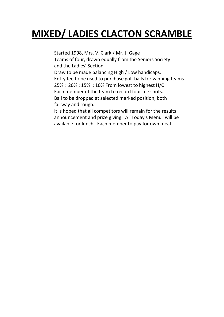### **MIXED/ LADIES CLACTON SCRAMBLE**

Started 1998, Mrs. V. Clark / Mr. J. Gage Teams of four, drawn equally from the Seniors Society and the Ladies' Section. Draw to be made balancing High / Low handicaps. Entry fee to be used to purchase golf balls for winning teams. 25% ; 20% ; 15% ; 10% From lowest to highest H/C Each member of the team to record four tee shots. Ball to be dropped at selected marked position, both fairway and rough. It is hoped that all competitors will remain for the results

announcement and prize giving. A "Today's Menu" will be available for lunch. Each member to pay for own meal.